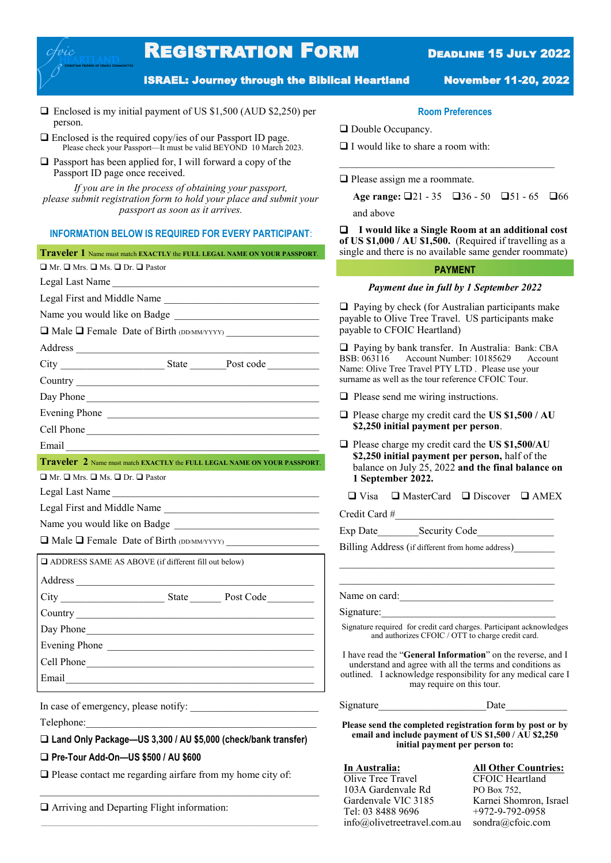# **REGISTRATION FORM DEADLINE 15 JULY 2022**

ISRAEL: Journey through the Biblical Heartland November 11-20, 2022

- ❑ Enclosed is my initial payment of US \$1,500 (AUD \$2,250) per person.
- ❑ Enclosed is the required copy/ies of our Passport ID page. Please check your Passport—It must be valid BEYOND 10 March 2023.
- ❑ Passport has been applied for, I will forward a copy of the Passport ID page once received.

*If you are in the process of obtaining your passport, please submit registration form to hold your place and submit your passport as soon as it arrives.*

### **INFORMATION BELOW IS REQUIRED FOR EVERY PARTICIPANT**:

| Traveler 1 Name must match EXACTLY the FULL LEGAL NAME ON YOUR PASSPORT.                                                                                                                                                             | single and there is no available same gender roomma                                                                                                                                                                |  |
|--------------------------------------------------------------------------------------------------------------------------------------------------------------------------------------------------------------------------------------|--------------------------------------------------------------------------------------------------------------------------------------------------------------------------------------------------------------------|--|
| $\Box$ Mr. $\Box$ Mrs. $\Box$ Ms. $\Box$ Dr. $\Box$ Pastor                                                                                                                                                                           | <b>PAYMENT</b>                                                                                                                                                                                                     |  |
| Legal Last Name                                                                                                                                                                                                                      | Payment due in full by 1 September 2022                                                                                                                                                                            |  |
| Legal First and Middle Name                                                                                                                                                                                                          | $\Box$ Paying by check (for Australian participants mak<br>payable to Olive Tree Travel. US participants make<br>payable to CFOIC Heartland)                                                                       |  |
|                                                                                                                                                                                                                                      |                                                                                                                                                                                                                    |  |
| Male T Female Date of Birth (DD/MM/YYYY)                                                                                                                                                                                             |                                                                                                                                                                                                                    |  |
|                                                                                                                                                                                                                                      | $\Box$ Paying by bank transfer. In Australia: Bank: CB.<br>BSB: 063116 Account Number: 10185629<br>Accour<br>Name: Olive Tree Travel PTY LTD. Please use your<br>surname as well as the tour reference CFOIC Tour. |  |
|                                                                                                                                                                                                                                      |                                                                                                                                                                                                                    |  |
|                                                                                                                                                                                                                                      |                                                                                                                                                                                                                    |  |
|                                                                                                                                                                                                                                      | $\Box$ Please send me wiring instructions.                                                                                                                                                                         |  |
| Evening Phone                                                                                                                                                                                                                        | $\Box$ Please charge my credit card the US \$1,500 / AU<br>\$2,250 initial payment per person.                                                                                                                     |  |
| Cell Phone                                                                                                                                                                                                                           |                                                                                                                                                                                                                    |  |
|                                                                                                                                                                                                                                      | $\Box$ Please charge my credit card the US \$1,500/AU<br>\$2,250 initial payment per person, half of the<br>balance on July 25, 2022 and the final balance<br>1 September 2022.                                    |  |
| Traveler 2 Name must match EXACTLY the FULL LEGAL NAME ON YOUR PASSPORT.                                                                                                                                                             |                                                                                                                                                                                                                    |  |
| $\Box$ Mr. $\Box$ Mrs. $\Box$ Ms. $\Box$ Dr. $\Box$ Pastor                                                                                                                                                                           |                                                                                                                                                                                                                    |  |
| Legal Last Name                                                                                                                                                                                                                      | $\Box$ Visa $\Box$ MasterCard $\Box$ Discover $\Box$ AME                                                                                                                                                           |  |
| Legal First and Middle Name                                                                                                                                                                                                          | Credit Card #<br>Billing Address (if different from home address)                                                                                                                                                  |  |
|                                                                                                                                                                                                                                      |                                                                                                                                                                                                                    |  |
| □ Male □ Female Date of Birth (DD/MM/YYYY)                                                                                                                                                                                           |                                                                                                                                                                                                                    |  |
| ADDRESS SAME AS ABOVE (if different fill out below)                                                                                                                                                                                  |                                                                                                                                                                                                                    |  |
|                                                                                                                                                                                                                                      |                                                                                                                                                                                                                    |  |
|                                                                                                                                                                                                                                      | Name on card:                                                                                                                                                                                                      |  |
|                                                                                                                                                                                                                                      | Signature:                                                                                                                                                                                                         |  |
| Day Phone                                                                                                                                                                                                                            | Signature required for credit card charges. Participant acknowle<br>and authorizes CFOIC / OTT to charge credit card.                                                                                              |  |
| Evening Phone                                                                                                                                                                                                                        | I have read the "General Information" on the reverse, a                                                                                                                                                            |  |
| Cell Phone                                                                                                                                                                                                                           | understand and agree with all the terms and conditions                                                                                                                                                             |  |
| Email <u>contract and contract and contract and contract and contract and contract and contract of the set of the set of the set of the set of the set of the set of the set of the set of the set of the set of the set of the </u> | outlined. I acknowledge responsibility for any medical c<br>may require on this tour.                                                                                                                              |  |

In case of emergency, please notify:

Telephone:\_\_\_\_\_\_\_\_\_\_\_\_\_\_\_\_\_\_\_\_\_\_\_\_\_\_\_\_\_\_\_\_\_\_\_\_\_\_\_\_\_\_\_\_\_

### ❑ **Land Only Package—US 3,300 / AU \$5,000 (check/bank transfer)**

❑ **Pre-Tour Add-On—US \$500 / AU \$600**

□ Please contact me regarding airfare from my home city of:

❑ Arriving and Departing Flight information:

### **Room Preferences**

 $\mathcal{L}_\text{max}$ 

❑ Double Occupancy.

❑ I would like to share a room with:

❑ Please assign me a roommate.

Age range: □21 - 35 □36 - 50 □51 - 65 □66 and above

❑ **I would like a Single Room at an additional cost of US \$1,000 / AU \$1,500.** (Required if travelling as a le and there is no available same gender roommate)

#### **PAYMENT**

#### *Payment due in full by 1 September 2022*

- Please send me wiring instructions.
- ❑ Please charge my credit card the **US \$1,500 / AU \$2,250 initial payment per person**.
- Please charge my credit card the **US \$1,500/AU \$2,250 initial payment per person,** half of the balance on July 25, 2022 **and the final balance on 1 September 2022.**

ature required for credit card charges. Participant acknowledges and authorizes CFOIC / OTT to charge credit card.

Ive read the "**General Information**" on the reverse, and I understand and agree with all the terms and conditions as ined. I acknowledge responsibility for any medical care I may require on this tour.

| Signature | Date |
|-----------|------|
|-----------|------|

**Please send the completed registration form by post or by email and include payment of US \$1,500 / AU \$2,250 initial payment per person to:**

Olive Tree Travel CFOIC Heartland 103A Gardenvale Rd<br>
Gardenvale VIC 3185<br>
Karnei Shor Tel: 03 8488 9696 +972-9-792-0958 info@olivetreetravel.com.au sondra@cfoic.com

# **In Australia: All Other Countries:**

Karnei Shomron, Israel

<sup>❑</sup> Visa ❑ MasterCard ❑ Discover ❑ AMEX